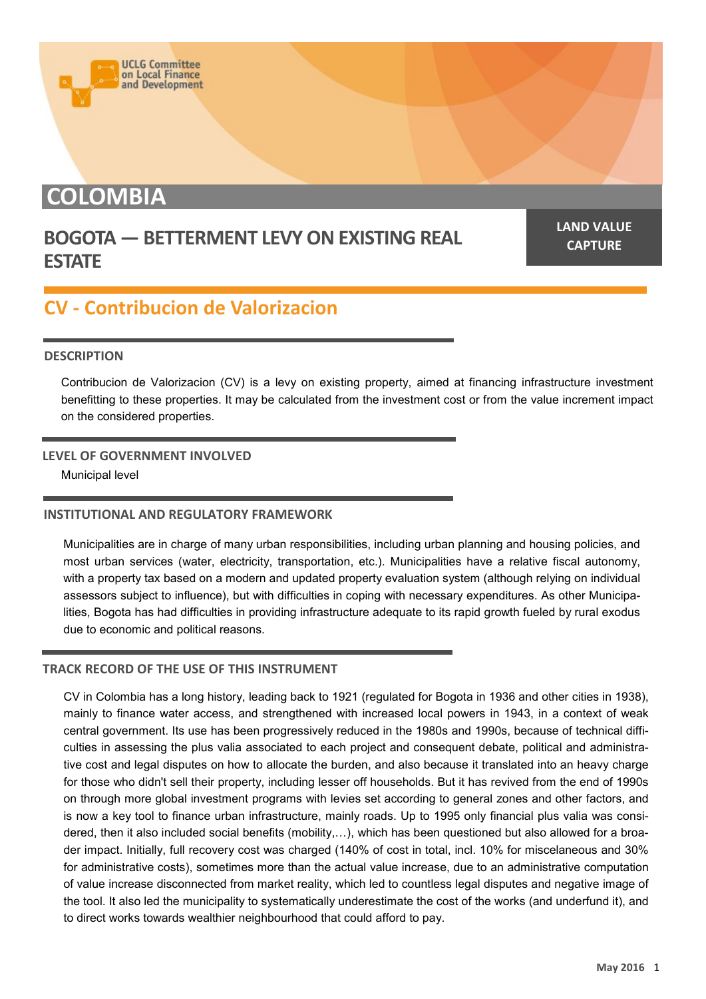# **COLOMBIA**

### **BOGOTA — BETTERMENT LEVY ON EXISTING REAL ESTATE**

**LAND VALUE CAPTURE**

## **CV - Contribucion de Valorizacion**

**UCLG Committee** on Local Finance<br>and Development

#### **DESCRIPTION**

Contribucion de Valorizacion (CV) is a levy on existing property, aimed at financing infrastructure investment benefitting to these properties. It may be calculated from the investment cost or from the value increment impact on the considered properties.

#### **LEVEL OF GOVERNMENT INVOLVED**

Municipal level

#### **INSTITUTIONAL AND REGULATORY FRAMEWORK**

Municipalities are in charge of many urban responsibilities, including urban planning and housing policies, and most urban services (water, electricity, transportation, etc.). Municipalities have a relative fiscal autonomy, with a property tax based on a modern and updated property evaluation system (although relying on individual assessors subject to influence), but with difficulties in coping with necessary expenditures. As other Municipalities, Bogota has had difficulties in providing infrastructure adequate to its rapid growth fueled by rural exodus due to economic and political reasons.

#### **TRACK RECORD OF THE USE OF THIS INSTRUMENT**

CV in Colombia has a long history, leading back to 1921 (regulated for Bogota in 1936 and other cities in 1938), mainly to finance water access, and strengthened with increased local powers in 1943, in a context of weak central government. Its use has been progressively reduced in the 1980s and 1990s, because of technical difficulties in assessing the plus valia associated to each project and consequent debate, political and administrative cost and legal disputes on how to allocate the burden, and also because it translated into an heavy charge for those who didn't sell their property, including lesser off households. But it has revived from the end of 1990s on through more global investment programs with levies set according to general zones and other factors, and is now a key tool to finance urban infrastructure, mainly roads. Up to 1995 only financial plus valia was considered, then it also included social benefits (mobility,…), which has been questioned but also allowed for a broader impact. Initially, full recovery cost was charged (140% of cost in total, incl. 10% for miscelaneous and 30% for administrative costs), sometimes more than the actual value increase, due to an administrative computation of value increase disconnected from market reality, which led to countless legal disputes and negative image of the tool. It also led the municipality to systematically underestimate the cost of the works (and underfund it), and to direct works towards wealthier neighbourhood that could afford to pay.